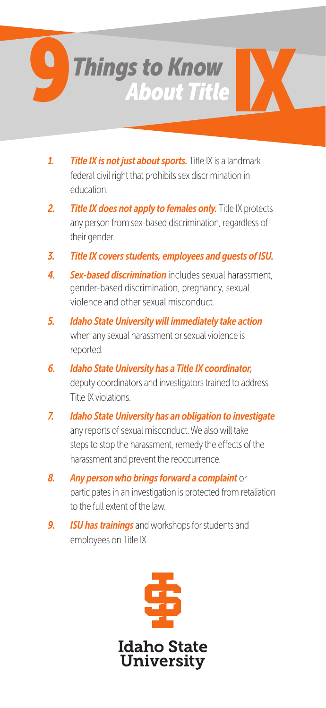

- *1. Title IX is not just about sports.* Title IX is a landmark federal civil right that prohibits sex discrimination in education.
- *2. Title IX does not apply to females only.* Title IX protects any person from sex-based discrimination, regardless of their gender.
- *3. Title IX covers students, employees and guests of ISU.*
- *4. Sex-based discrimination* includes sexual harassment, gender-based discrimination, pregnancy, sexual violence and other sexual misconduct.
- *5. Idaho State University will immediately take action* when any sexual harassment or sexual violence is reported.
- *6. Idaho State University has a Title IX coordinator,* deputy coordinators and investigators trained to address Title IX violations.
- *7. Idaho State University has an obligation to investigate* any reports of sexual misconduct. We also will take steps to stop the harassment, remedy the effects of the harassment and prevent the reoccurrence.
- *8. Any person who brings forward a complaint* or participates in an investigation is protected from retaliation to the full extent of the law.
- *9. ISU has trainings* and workshops for students and employees on Title IX.